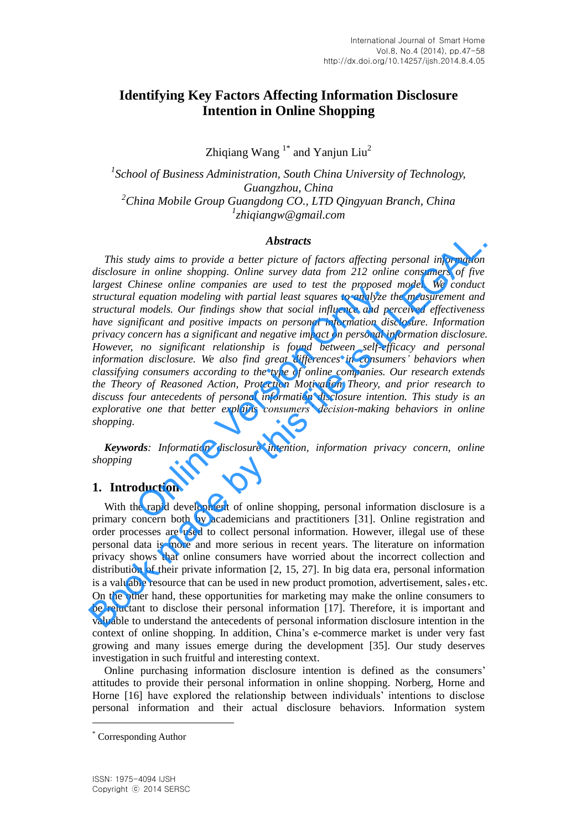# **Identifying Key Factors Affecting Information Disclosure Intention in Online Shopping**

Zhiqiang Wang  $1^*$  and Yanjun Liu<sup>2</sup>

 *School of Business Administration, South China University of Technology, Guangzhou, China China Mobile Group Guangdong CO., LTD Qingyuan Branch, China zhiqiangw@gmail.com*

#### *Abstracts*

*This study aims to provide a better picture of factors affecting personal information disclosure in online shopping. Online survey data from 212 online consumers of five largest Chinese online companies are used to test the proposed model. We conduct structural equation modeling with partial least squares to analyze the measurement and structural models. Our findings show that social influence and perceived effectiveness have significant and positive impacts on personal information disclosure. Information privacy concern has a significant and negative impact on personal information disclosure. However, no significant relationship is found between self-efficacy and personal information disclosure. We also find great differences in consumers' behaviors when classifying consumers according to the type of online companies. Our research extends the Theory of Reasoned Action, Protection Motivation Theory, and prior research to discuss four antecedents of personal information disclosure intention. This study is an explorative one that better explains consumers' decision-making behaviors in online shopping.* makes online companies are used to test the proposed<br>
equation modeling with partial least squares to analyze<br>
enodels. Our findings show that social influence and per<br>
ifficant and positive impacts on personal information **Abstracts**<br> **Abstracts**<br> **Abstracts**<br> **Book made that proper piecer and the proposed information**<br>
disclosure in online shopping. Online survey data from 212 online consumers of five<br>
largest Chinese online companies are

*Keywords: Information disclosure intention, information privacy concern, online shopping*

# **1. Introduction**

With the rapid development of online shopping, personal information disclosure is a primary concern both by academicians and practitioners [31]. Online registration and order processes are used to collect personal information. However, illegal use of these personal data is more and more serious in recent years. The literature on information privacy shows that online consumers have worried about the incorrect collection and distribution of their private information [2, 15, 27]. In big data era, personal information is a valuable resource that can be used in new product promotion, advertisement, sales, etc. On the other hand, these opportunities for marketing may make the online consumers to be reluctant to disclose their personal information [17]. Therefore, it is important and valuable to understand the antecedents of personal information disclosure intention in the context of online shopping. In addition, China's e-commerce market is under very fast growing and many issues emerge during the development [35]. Our study deserves investigation in such fruitful and interesting context.

Online purchasing information disclosure intention is defined as the consumers' attitudes to provide their personal information in online shopping. Norberg, Horne and Horne [16] have explored the relationship between individuals' intentions to disclose personal information and their actual disclosure behaviors. Information system

 $\overline{a}$ 

<sup>\*</sup> Corresponding Author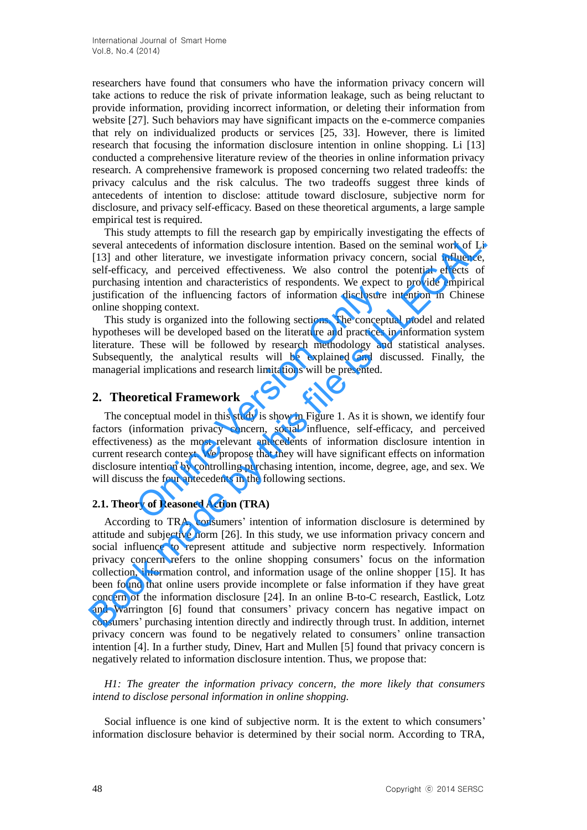researchers have found that consumers who have the information privacy concern will take actions to reduce the risk of private information leakage, such as being reluctant to provide information, providing incorrect information, or deleting their information from website [27]. Such behaviors may have significant impacts on the e-commerce companies that rely on individualized products or services [25, 33]. However, there is limited research that focusing the information disclosure intention in online shopping. Li [13] conducted a comprehensive literature review of the theories in online information privacy research. A comprehensive framework is proposed concerning two related tradeoffs: the privacy calculus and the risk calculus. The two tradeoffs suggest three kinds of antecedents of intention to disclose: attitude toward disclosure, subjective norm for disclosure, and privacy self-efficacy. Based on these theoretical arguments, a large sample empirical test is required.

This study attempts to fill the research gap by empirically investigating the effects of several antecedents of information disclosure intention. Based on the seminal work of Li [13] and other literature, we investigate information privacy concern, social influence, self-efficacy, and perceived effectiveness. We also control the potential effects of purchasing intention and characteristics of respondents. We expect to provide empirical justification of the influencing factors of information disclosure intention in Chinese online shopping context.

This study is organized into the following sections. The conceptual model and related hypotheses will be developed based on the literature and practices in information system literature. These will be followed by research methodology and statistical analyses. Subsequently, the analytical results will be explained and discussed. Finally, the managerial implications and research limitations will be presented.

## **2. Theoretical Framework**

The conceptual model in this study is show in Figure 1. As it is shown, we identify four factors (information privacy concern, social influence, self-efficacy, and perceived effectiveness) as the most relevant antecedents of information disclosure intention in current research context. We propose that they will have significant effects on information disclosure intention by controlling purchasing intention, income, degree, age, and sex. We will discuss the four antecedents in the following sections. g mention and characteristics of responsions. We expect<br>on of the influencing factors of information disclosure<br>popping context.<br>ady is organized into the following sections. The conceptt<br>s will be developed based on the l

### **2.1. Theory of Reasoned Action (TRA)**

According to TRA, consumers' intention of information disclosure is determined by attitude and subjective norm [26]. In this study, we use information privacy concern and social influence to represent attitude and subjective norm respectively. Information privacy concern refers to the online shopping consumers' focus on the information collection, information control, and information usage of the online shopper [15]. It has been found that online users provide incomplete or false information if they have great concern of the information disclosure [24]. In an online B-to-C research, Eastlick, Lotz and Warrington [6] found that consumers' privacy concern has negative impact on consumers' purchasing intention directly and indirectly through trust. In addition, internet privacy concern was found to be negatively related to consumers' online transaction intention [4]. In a further study, Dinev, Hart and Mullen [5] found that privacy concern is negatively related to information disclosure intention. Thus, we propose that: This stoay actions to the reaction through the constanting in vectors of the fileration and only several antecedents of information disclosure intention. Based on the seminal work of Li [13] and other literature, we inves

*H1: The greater the information privacy concern, the more likely that consumers intend to disclose personal information in online shopping.*

Social influence is one kind of subjective norm. It is the extent to which consumers' information disclosure behavior is determined by their social norm. According to TRA,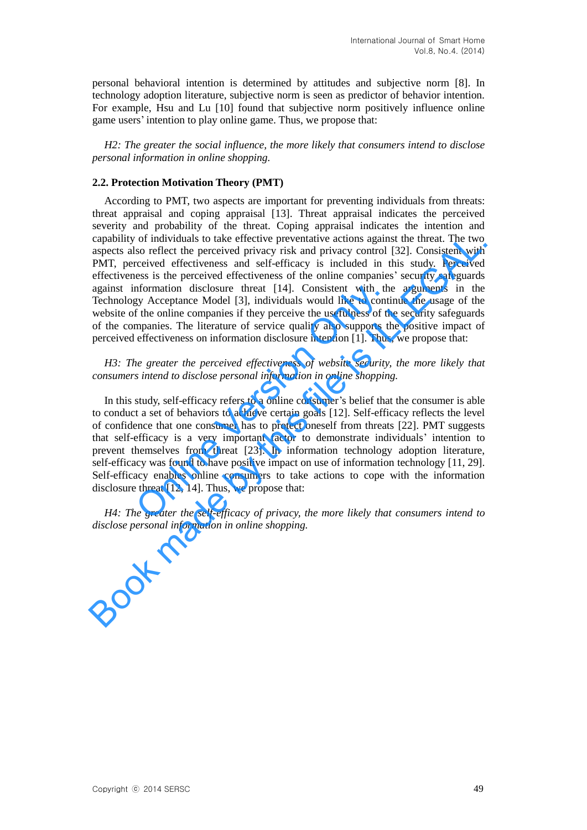personal behavioral intention is determined by attitudes and subjective norm [8]. In technology adoption literature, subjective norm is seen as predictor of behavior intention. For example, Hsu and Lu [10] found that subjective norm positively influence online game users' intention to play online game. Thus, we propose that:

*H2: The greater the social influence, the more likely that consumers intend to disclose personal information in online shopping.*

#### **2.2. Protection Motivation Theory (PMT)**

According to PMT, two aspects are important for preventing individuals from threats: threat appraisal and coping appraisal [13]. Threat appraisal indicates the perceived severity and probability of the threat. Coping appraisal indicates the intention and capability of individuals to take effective preventative actions against the threat. The two aspects also reflect the perceived privacy risk and privacy control [32]. Consistent with PMT, perceived effectiveness and self-efficacy is included in this study. Perceived effectiveness is the perceived effectiveness of the online companies' security safeguards against information disclosure threat [14]. Consistent with the arguments in the Technology Acceptance Model [3], individuals would like to continue the usage of the website of the online companies if they perceive the usefulness of the security safeguards of the companies. The literature of service quality also supports the positive impact of perceived effectiveness on information disclosure intention [1]. Thus, we propose that: by sure threat [14]. Consistent with the odel [3], individuals would like to continies if they perceive the usefulness of the atture of service quality also supports the nformation disclosure intention [1]. Thus *ceived ef* capability of individuals to take effective preventative actions against the threat. The two sapacets also reflect the perceived privacy risk and privacy control [32]. Consistent with PMT, perceived effectiveness and self

*H3: The greater the perceived effectiveness of website security, the more likely that consumers intend to disclose personal information in online shopping.*

In this study, self-efficacy refers to a online consumer's belief that the consumer is able to conduct a set of behaviors to achieve certain goals [12]. Self-efficacy reflects the level of confidence that one consumer has to protect oneself from threats [22]. PMT suggests that self-efficacy is a very important factor to demonstrate individuals' intention to prevent themselves from threat [23]. In information technology adoption literature, self-efficacy was found to have positive impact on use of information technology [11, 29]. Self-efficacy enables online consumers to take actions to cope with the information disclosure threat [12, 14]. Thus, we propose that: efficacy is a very im<br>hemselves from threa<br>locy was found to have p<br>acy enables online co<br>threat [12, 14]. Thus,<br>e greater the self-effic

*H4: The greater the self-efficacy of privacy, the more likely that consumers intend to disclose personal information in online shopping.*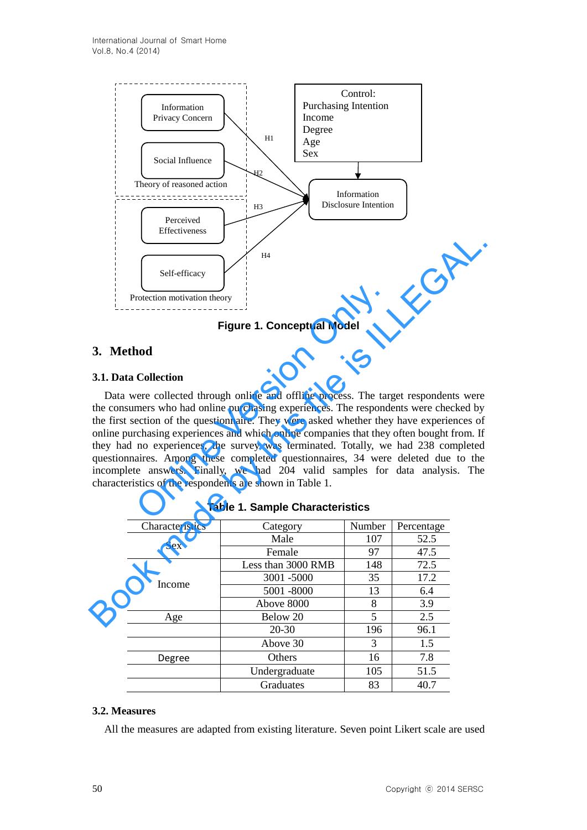

**Figure 1. Conceptual Model**

# **3. Method**

## **3.1. Data Collection**

Data were collected through online and offline process. The target respondents were the consumers who had online purchasing experiences. The respondents were checked by the first section of the questionnaire. They were asked whether they have experiences of online purchasing experiences and which online companies that they often bought from. If they had no experiences, the survey was terminated. Totally, we had 238 completed questionnaires. Among these completed questionnaires, 34 were deleted due to the incomplete answers. Finally, we had 204 valid samples for data analysis. The characteristics of the respondents are shown in Table 1. Figure 1. Conceptual Model<br>
Collection motivation theory<br>
Figure 1. Conceptual Model<br>
nod<br>
Collection<br>
Never collected through online and offline process. The tar,<br>
mers who had online purchasing experiences. The respond<br> **EXECUTE:**<br> **EXECUTE:**<br> **EXECUTE:**<br> **EXECUTE:**<br> **EXECUTE:**<br> **EXECUTE:**<br> **EXECUTE:**<br> **EXECUTE:**<br> **EXECUTE:**<br> **EXECUTE:**<br> **EXECUTE:**<br> **EXECUTE:**<br> **EXECUTE:**<br> **EXECUTE:**<br> **EXECUTE:**<br> **EXECUTE:**<br> **EXECUTE:**<br> **EXECUTE:**<br> **EXEC** 

| Characteristics | Category           | Number | Percentage |
|-----------------|--------------------|--------|------------|
| <b>Sex</b>      | Male               | 107    | 52.5       |
|                 | Female             | 97     | 47.5       |
|                 | Less than 3000 RMB | 148    | 72.5       |
| Income          | 3001 -5000         | 35     | 17.2       |
|                 | 5001 -8000         | 13     | 6.4        |
|                 | Above 8000         | 8      | 3.9        |
| Age             | Below 20           | 5      | 2.5        |
|                 | $20 - 30$          | 196    | 96.1       |
|                 | Above 30           | 3      | 1.5        |
| Degree          | <b>Others</b>      | 16     | 7.8        |
| Undergraduate   |                    | 105    | 51.5       |
|                 | Graduates          | 83     | 40.7       |

# **3.2. Measures**

All the measures are adapted from existing literature. Seven point Likert scale are used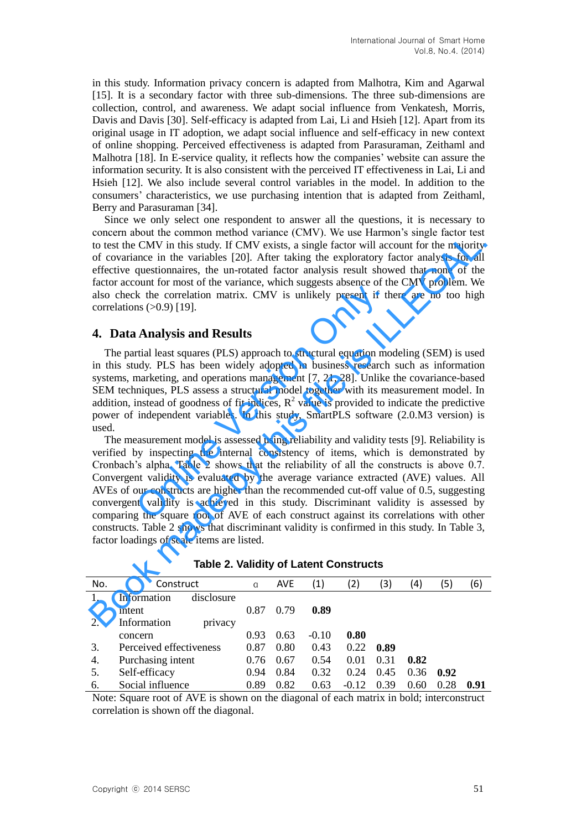in this study. Information privacy concern is adapted from Malhotra, Kim and Agarwal [15]. It is a secondary factor with three sub-dimensions. The three sub-dimensions are collection, control, and awareness. We adapt social influence from Venkatesh, Morris, Davis and Davis [30]. Self-efficacy is adapted from Lai, Li and Hsieh [12]. Apart from its original usage in IT adoption, we adapt social influence and self-efficacy in new context of online shopping. Perceived effectiveness is adapted from Parasuraman, Zeithaml and Malhotra [18]. In E-service quality, it reflects how the companies' website can assure the information security. It is also consistent with the perceived IT effectiveness in Lai, Li and Hsieh [12]. We also include several control variables in the model. In addition to the consumers' characteristics, we use purchasing intention that is adapted from Zeithaml, Berry and Parasuraman [34].

Since we only select one respondent to answer all the questions, it is necessary to concern about the common method variance (CMV). We use Harmon's single factor test to test the CMV in this study. If CMV exists, a single factor will account for the majority of covariance in the variables [20]. After taking the exploratory factor analysis for all effective questionnaires, the un-rotated factor analysis result showed that none of the factor account for most of the variance, which suggests absence of the CMV problem. We also check the correlation matrix. CMV is unlikely present if there are no too high correlations  $(>0.9)$  [19].

### **4. Data Analysis and Results**

The partial least squares (PLS) approach to structural equation modeling (SEM) is used in this study. PLS has been widely adopted in business research such as information systems, marketing, and operations management [7, 21, 28]. Unlike the covariance-based SEM techniques, PLS assess a structural model together with its measurement model. In addition, instead of goodness of fit indices,  $R^2$  value is provided to indicate the predictive power of independent variables. In this study, SmartPLS software (2.0.M3 version) is used.

The measurement model is assessed using reliability and validity tests [9]. Reliability is verified by inspecting the internal consistency of items, which is demonstrated by Cronbach's alpha. Table 2 shows that the reliability of all the constructs is above 0.7. Convergent validity is evaluated by the average variance extracted (AVE) values. All AVEs of our constructs are higher than the recommended cut-off value of 0.5, suggesting convergent validity is achieved in this study. Discriminant validity is assessed by comparing the square root of AVE of each construct against its correlations with other constructs. Table 2 shows that discriminant validity is confirmed in this study. In Table 3, factor loadings of scale items are listed. Solution matrix. CMV is unlikely present if the correlation matrix. CMV is unlikely present if the sectrelation matrix. CMV is unlikely present if the sectrelation matrix. CMV is unlikely present if the sectre of the sect concar about as common metaloog variance (civity). We use raininot sharge tactor will decount for the majority<br>to test the CMV in this study. If CMV exists, a single factor will account for the majority<br>of covariance in t

| No. | Construct                 | a    | <b>AVE</b> | (1)     | (2)     | (3)  | (4)    | 5)   | (6)  |
|-----|---------------------------|------|------------|---------|---------|------|--------|------|------|
|     | disclosure<br>Information |      |            |         |         |      |        |      |      |
|     | intent                    | 0.87 | 0.79       | 0.89    |         |      |        |      |      |
| 2.  | Information<br>privacy    |      |            |         |         |      |        |      |      |
|     | concern                   | 0.93 | 0.63       | $-0.10$ | 0.80    |      |        |      |      |
| 3.  | Perceived effectiveness   |      | 0.80       | 0.43    | 0.22    | 0.89 |        |      |      |
| 4.  | Purchasing intent         |      | 0.67       | 0.54    | 0.01    | 0.31 | 0.82   |      |      |
| 5.  | Self-efficacy             | 0.94 | 0.84       | 0.32    | 0.24    | 0.45 | 0.36   | 0.92 |      |
| 6.  | Social influence          |      | 0.82       | 0.63    | $-0.12$ | 0.39 | (0.60) | 0.28 | 0.91 |

**Table 2. Validity of Latent Constructs**

Note: Square root of AVE is shown on the diagonal of each matrix in bold; interconstruct correlation is shown off the diagonal.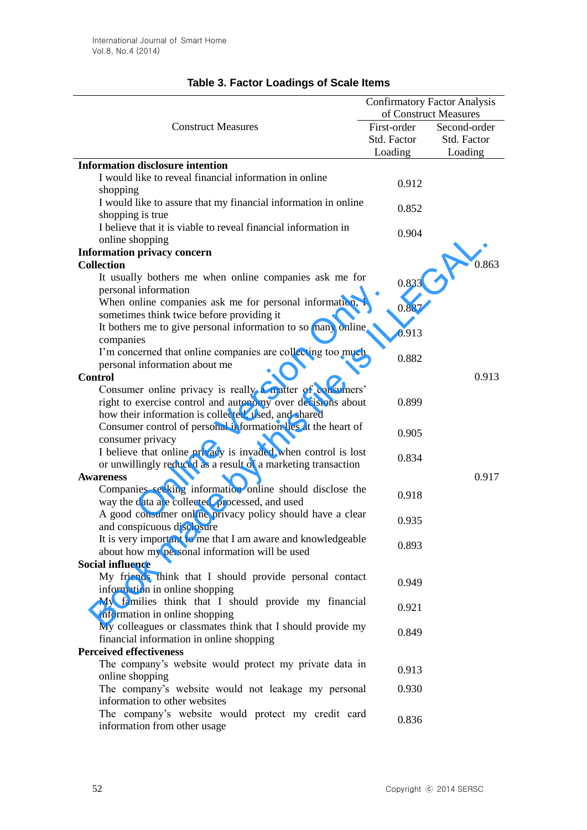|                                                                                                                     | <b>Confirmatory Factor Analysis</b> |              |  |
|---------------------------------------------------------------------------------------------------------------------|-------------------------------------|--------------|--|
|                                                                                                                     | of Construct Measures               |              |  |
| <b>Construct Measures</b>                                                                                           | First-order                         | Second-order |  |
|                                                                                                                     | Std. Factor                         | Std. Factor  |  |
|                                                                                                                     | Loading                             | Loading      |  |
| <b>Information disclosure intention</b>                                                                             |                                     |              |  |
| I would like to reveal financial information in online<br>shopping                                                  | 0.912                               |              |  |
| I would like to assure that my financial information in online<br>shopping is true                                  | 0.852                               |              |  |
| I believe that it is viable to reveal financial information in<br>online shopping                                   | 0.904                               |              |  |
| <b>Information privacy concern</b>                                                                                  |                                     |              |  |
| <b>Collection</b>                                                                                                   |                                     | 0.863        |  |
| It usually bothers me when online companies ask me for                                                              | 0.833                               |              |  |
| personal information<br>When online companies ask me for personal information, I                                    |                                     |              |  |
| sometimes think twice before providing it                                                                           | 0.887                               |              |  |
| It bothers me to give personal information to so many online<br>companies                                           | 0.913                               |              |  |
| I'm concerned that online companies are collecting too much                                                         | 0.882                               |              |  |
| personal information about me                                                                                       |                                     |              |  |
| <b>Control</b>                                                                                                      |                                     | 0.913        |  |
| Consumer online privacy is really a matter of consumers'                                                            |                                     |              |  |
| right to exercise control and autonomy over decisions about<br>how their information is collected, used, and shared | 0.899                               |              |  |
| Consumer control of personal information lies at the heart of                                                       |                                     |              |  |
| consumer privacy                                                                                                    | 0.905                               |              |  |
| I believe that online privacy is invaded when control is lost                                                       | 0.834                               |              |  |
| or unwillingly reduced as a result of a marketing transaction                                                       |                                     |              |  |
| <b>Awareness</b>                                                                                                    |                                     | 0.917        |  |
| Companies seeking information online should disclose the                                                            | 0.918                               |              |  |
| way the data are collected, processed, and used                                                                     |                                     |              |  |
| A good consumer online privacy policy should have a clear<br>and conspicuous disclosure                             | 0.935                               |              |  |
| It is very important to me that I am aware and knowledgeable                                                        |                                     |              |  |
| about how my personal information will be used                                                                      | 0.893                               |              |  |
| <b>Social influence</b>                                                                                             |                                     |              |  |
| My friends think that I should provide personal contact<br>information in online shopping                           | 0.949                               |              |  |
| My families think that I should provide my financial                                                                | 0.921                               |              |  |
| information in online shopping                                                                                      |                                     |              |  |
| My colleagues or classmates think that I should provide my<br>financial information in online shopping              | 0.849                               |              |  |
| <b>Perceived effectiveness</b>                                                                                      |                                     |              |  |
| The company's website would protect my private data in                                                              |                                     |              |  |
| online shopping                                                                                                     | 0.913                               |              |  |
| The company's website would not leakage my personal<br>information to other websites                                | 0.930                               |              |  |
| The company's website would protect my credit card                                                                  | 0.836                               |              |  |
| information from other usage                                                                                        |                                     |              |  |

# **Table 3. Factor Loadings of Scale Items**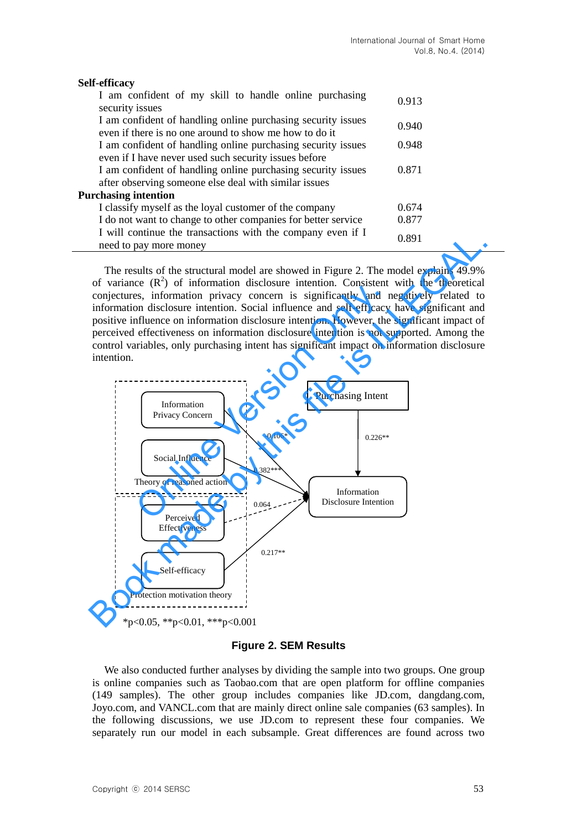| <b>Self-efficacy</b>                                                                                                   |       |  |
|------------------------------------------------------------------------------------------------------------------------|-------|--|
| I am confident of my skill to handle online purchasing<br>security issues                                              | 0.913 |  |
| I am confident of handling online purchasing security issues<br>even if there is no one around to show me how to do it | 0.940 |  |
| I am confident of handling online purchasing security issues<br>even if I have never used such security issues before  | 0.948 |  |
| I am confident of handling online purchasing security issues<br>after observing someone else deal with similar issues  | 0.871 |  |
| <b>Purchasing intention</b>                                                                                            |       |  |
| I classify myself as the loyal customer of the company                                                                 | 0.674 |  |
| I do not want to change to other companies for better service                                                          | 0.877 |  |
| I will continue the transactions with the company even if I<br>need to pay more money                                  | 0.891 |  |

The results of the structural model are showed in Figure 2. The model explains 49.9% of variance  $(R^2)$  of information disclosure intention. Consistent with the theoretical conjectures, information privacy concern is significantly and negatively related to information disclosure intention. Social influence and self-efficacy have significant and positive influence on information disclosure intention. However, the significant impact of perceived effectiveness on information disclosure intention is not supported. Among the control variables, only purchasing intent has significant impact on information disclosure intention.



#### **Figure 2. SEM Results**

We also conducted further analyses by dividing the sample into two groups. One group is online companies such as Taobao.com that are open platform for offline companies (149 samples). The other group includes companies like JD.com, dangdang.com, Joyo.com, and VANCL.com that are mainly direct online sale companies (63 samples). In the following discussions, we use JD.com to represent these four companies. We separately run our model in each subsample. Great differences are found across two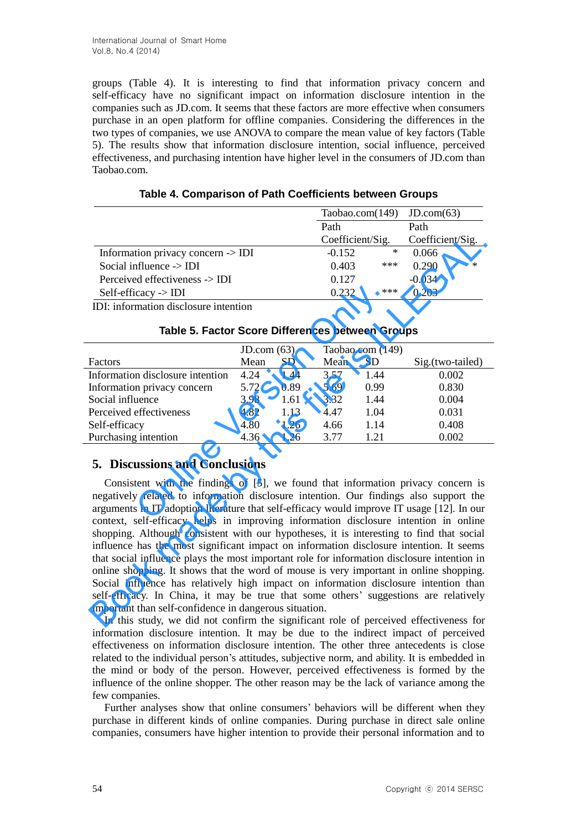groups (Table 4). It is interesting to find that information privacy concern and self-efficacy have no significant impact on information disclosure intention in the companies such as JD.com. It seems that these factors are more effective when consumers purchase in an open platform for offline companies. Considering the differences in the two types of companies, we use ANOVA to compare the mean value of key factors (Table 5). The results show that information disclosure intention, social influence, perceived effectiveness, and purchasing intention have higher level in the consumers of JD.com than Taobao.com.

|                                               | Taobao.com $(149)$ JD.com $(63)$ |     |                  |        |
|-----------------------------------------------|----------------------------------|-----|------------------|--------|
|                                               | Path                             |     | Path             |        |
|                                               | Coefficient/Sig.                 |     | Coefficient/Sig. |        |
| Information privacy concern $\rightarrow$ IDI | $-0.152$                         | ∗   | 0.066            |        |
| Social influence $\rightarrow$ IDI            | 0.403                            | *** | 0.290            | $\ast$ |
| Perceived effectiveness -> IDI                | 0.127                            |     | $-0.034$         |        |
| $Self\text{-efficacy} > IDI$                  | 0.232                            | *** | 0.203            |        |

**Table 4. Comparison of Path Coefficients between Groups**

|  | Table 5. Factor Score Differences between Groups |  |
|--|--------------------------------------------------|--|
|  |                                                  |  |

| Self-efficacy $\rightarrow$ IDI                                                                                                                                                                                                                                                                                   |            |      | 0.232 | ***              | 0.203            |  |  |
|-------------------------------------------------------------------------------------------------------------------------------------------------------------------------------------------------------------------------------------------------------------------------------------------------------------------|------------|------|-------|------------------|------------------|--|--|
| IDI: information disclosure intention                                                                                                                                                                                                                                                                             |            |      |       |                  |                  |  |  |
| Table 5. Factor Score Differences between Groups                                                                                                                                                                                                                                                                  |            |      |       |                  |                  |  |  |
|                                                                                                                                                                                                                                                                                                                   | JD.com(63) |      |       | Taobao.com (149) |                  |  |  |
| Factors                                                                                                                                                                                                                                                                                                           | Mean       | SD.  | Mean  | SD               | Sig.(two-tailed) |  |  |
| Information disclosure intention                                                                                                                                                                                                                                                                                  | 4.24       | 1.44 | 3.57  | 1.44             | 0.002            |  |  |
| Information privacy concern                                                                                                                                                                                                                                                                                       | 5.72       | 0.89 | 5.69  | 0.99             | 0.830            |  |  |
| Social influence                                                                                                                                                                                                                                                                                                  | 3.98       | 1.61 | 3.32  | 1.44             | 0.004            |  |  |
| Perceived effectiveness                                                                                                                                                                                                                                                                                           | 4.82       | 1.13 | 4.47  | 1.04             | 0.031            |  |  |
| Self-efficacy                                                                                                                                                                                                                                                                                                     | 4.80       | 1.26 | 4.66  | 1.14             | 0.408            |  |  |
| Purchasing intention                                                                                                                                                                                                                                                                                              | 4.36       | 1.26 | 3.77  | 1.21             | 0.002            |  |  |
| <b>5. Discussions and Conclusions</b><br>Consistent with the findings of [5], we found that information privacy concern is<br>negatively related to information disclosure intention. Our findings also support the<br>arguments in IT adoption literature that self-efficacy would improve IT usage [12]. In our |            |      |       |                  |                  |  |  |
| content celf efficear helpe in improving information dicelegyes intention in online                                                                                                                                                                                                                               |            |      |       |                  |                  |  |  |

# **5. Discussions and Conclusions**

Consistent with the findings of [5], we found that information privacy concern is negatively related to information disclosure intention. Our findings also support the arguments in IT adoption literature that self-efficacy would improve IT usage [12]. In our context, self-efficacy helps in improving information disclosure intention in online shopping. Although consistent with our hypotheses, it is interesting to find that social influence has the most significant impact on information disclosure intention. It seems that social influence plays the most important role for information disclosure intention in online shopping. It shows that the word of mouse is very important in online shopping. Social influence has relatively high impact on information disclosure intention than self-efficacy. In China, it may be true that some others' suggestions are relatively important than self-confidence in dangerous situation. **Example 12 Coefficient/Sig. Coefficient/Sig. Social influence**  $\sim$  **EDI** (1.152 \* 0.066 \* 0.066 \* 0.067 \* 0.069 \* Pereivived effectiveness  $\sim$  **IDI** (1.127 \* 0.233 \* 0.290 \* Pereivived effectivences  $\sim$  **IDI** in

In this study, we did not confirm the significant role of perceived effectiveness for information disclosure intention. It may be due to the indirect impact of perceived effectiveness on information disclosure intention. The other three antecedents is close related to the individual person's attitudes, subjective norm, and ability. It is embedded in the mind or body of the person. However, perceived effectiveness is formed by the influence of the online shopper. The other reason may be the lack of variance among the few companies.

Further analyses show that online consumers' behaviors will be different when they purchase in different kinds of online companies. During purchase in direct sale online companies, consumers have higher intention to provide their personal information and to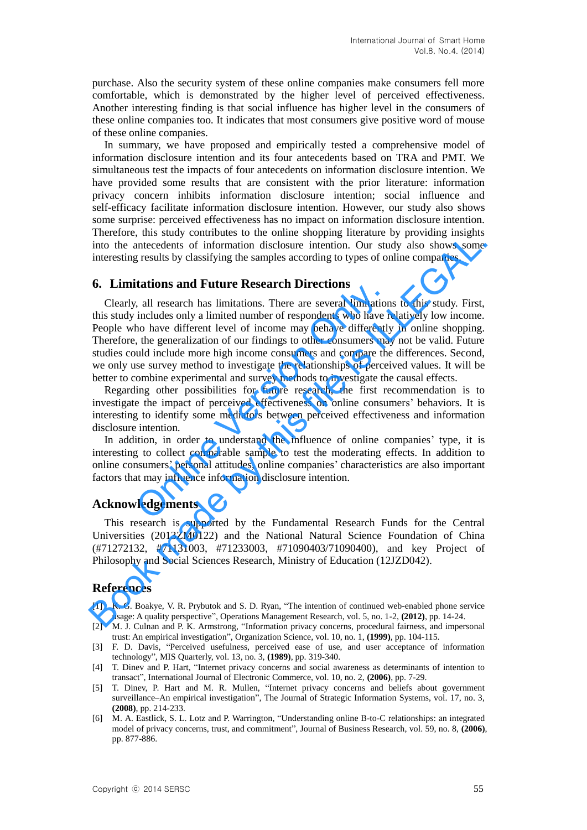purchase. Also the security system of these online companies make consumers fell more comfortable, which is demonstrated by the higher level of perceived effectiveness. Another interesting finding is that social influence has higher level in the consumers of these online companies too. It indicates that most consumers give positive word of mouse of these online companies.

In summary, we have proposed and empirically tested a comprehensive model of information disclosure intention and its four antecedents based on TRA and PMT. We simultaneous test the impacts of four antecedents on information disclosure intention. We have provided some results that are consistent with the prior literature: information privacy concern inhibits information disclosure intention; social influence and self-efficacy facilitate information disclosure intention. However, our study also shows some surprise: perceived effectiveness has no impact on information disclosure intention. Therefore, this study contributes to the online shopping literature by providing insights into the antecedents of information disclosure intention. Our study also shows some interesting results by classifying the samples according to types of online companies.

### **6. Limitations and Future Research Directions**

Clearly, all research has limitations. There are several limitations to this study. First, this study includes only a limited number of respondents who have relatively low income. People who have different level of income may behave differently in online shopping. Therefore, the generalization of our findings to other consumers may not be valid. Future studies could include more high income consumers and compare the differences. Second, we only use survey method to investigate the relationships of perceived values. It will be better to combine experimental and survey methods to investigate the causal effects. reactions and Future Research Driections<br>
reaction includes only a limited number of respondents who have r<br>
ho have different level of income may behave differently,<br>
the generalization of our findings to other consumers intertion, in study controllates on the minimal stopped includent by providing inalgrams<br>
into the antecedents of information disclosure intention. Our study also shows some<br>
interesting results by classifying the samples

Regarding other possibilities for future research, the first recommendation is to investigate the impact of perceived effectiveness on online consumers' behaviors. It is interesting to identify some mediators between perceived effectiveness and information disclosure intention.

In addition, in order to understand the influence of online companies' type, it is interesting to collect comparable sample to test the moderating effects. In addition to online consumers' personal attitudes, online companies' characteristics are also important factors that may influence information disclosure intention.

#### **Acknowledgements**

This research is supported by the Fundamental Research Funds for the Central Universities (2013ZM0122) and the National Natural Science Foundation of China (#71272132, #71131003, #71233003, #71090403/71090400), and key Project of Philosophy and Social Sciences Research, Ministry of Education (12JZD042).

### **References**

- [1] K. G. Boakye, V. R. Prybutok and S. D. Ryan, "The intention of continued web-enabled phone service usage: A quality perspective", Operations Management Research, vol. 5, no. 1-2, **(2012)**, pp. 14-24.
- [2] M. J. Culnan and P. K. Armstrong, "Information privacy concerns, procedural fairness, and impersonal trust: An empirical investigation", Organization Science, vol. 10, no. 1, **(1999)**, pp. 104-115.
- [3] F. D. Davis, "Perceived usefulness, perceived ease of use, and user acceptance of information technology", MIS Quarterly, vol. 13, no. 3, **(1989)**, pp. 319-340.
- [4] T. Dinev and P. Hart, "Internet privacy concerns and social awareness as determinants of intention to transact", International Journal of Electronic Commerce, vol. 10, no. 2, **(2006)**, pp. 7-29.
- [5] T. Dinev, P. Hart and M. R. Mullen, "Internet privacy concerns and beliefs about government surveillance–An empirical investigation", The Journal of Strategic Information Systems, vol. 17, no. 3, **(2008)**, pp. 214-233.
- [6] M. A. Eastlick, S. L. Lotz and P. Warrington, "Understanding online B-to-C relationships: an integrated model of privacy concerns, trust, and commitment", Journal of Business Research, vol. 59, no. 8, **(2006)**, pp. 877-886.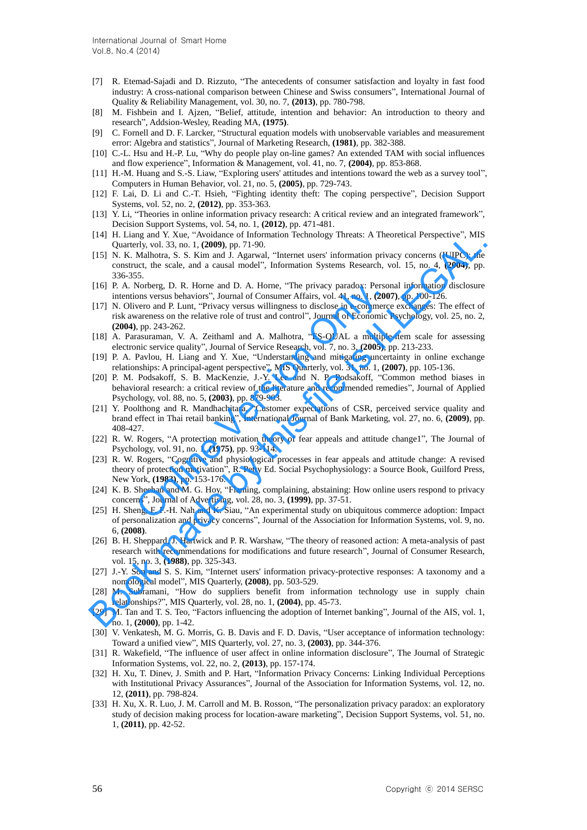- [7] R. Etemad-Sajadi and D. Rizzuto, "The antecedents of consumer satisfaction and loyalty in fast food industry: A cross-national comparison between Chinese and Swiss consumers", International Journal of Quality & Reliability Management, vol. 30, no. 7, **(2013)**, pp. 780-798.
- [8] M. Fishbein and I. Ajzen, "Belief, attitude, intention and behavior: An introduction to theory and research", Addsion-Wesley, Reading MA, **(1975)**.
- [9] C. Fornell and D. F. Larcker, "Structural equation models with unobservable variables and measurement error: Algebra and statistics", Journal of Marketing Research, **(1981)**, pp. 382-388.
- [10] C.-L. Hsu and H.-P. Lu, "Why do people play on-line games? An extended TAM with social influences and flow experience", Information & Management, vol. 41, no. 7, **(2004)**, pp. 853-868.
- [11] H.-M. Huang and S.-S. Liaw, "Exploring users' attitudes and intentions toward the web as a survey tool", Computers in Human Behavior, vol. 21, no. 5, **(2005)**, pp. 729-743.
- [12] F. Lai, D. Li and C.-T. Hsieh, "Fighting identity theft: The coping perspective", Decision Support Systems, vol. 52, no. 2, **(2012)**, pp. 353-363.
- [13] Y. Li, "Theories in online information privacy research: A critical review and an integrated framework", Decision Support Systems, vol. 54, no. 1, **(2012)**, pp. 471-481.
- [14] H. Liang and Y. Xue, "Avoidance of Information Technology Threats: A Theoretical Perspective", MIS Quarterly, vol. 33, no. 1, **(2009)**, pp. 71-90.
- [15] N. K. Malhotra, S. S. Kim and J. Agarwal, "Internet users' information privacy concerns (IUIPC): the construct, the scale, and a causal model", Information Systems Research, vol. 15, no. 4, **(2004)**, pp. 336-355.
- [16] P. A. Norberg, D. R. Horne and D. A. Horne, "The privacy paradox: Personal information disclosure intentions versus behaviors", Journal of Consumer Affairs, vol. 41, no. 1, **(2007)**, pp. 100-126.
- [17] N. Olivero and P. Lunt, "Privacy versus willingness to disclose in e-commerce exchanges: The effect of risk awareness on the relative role of trust and control", Journal of Economic Psychology, vol. 25, no. 2, **(2004)**, pp. 243-262. Norberg, D. R. Horne and D. A. Horne, "The privacy paradox: Persoons versus behaviors", Journal of Consumer Affairs, vol. 41, no. 1, (2009, oversus willingness to disclose in e-commercor and P. Lunt, "Privacy versus willin (14) H. Lining and Y. Note "Notomate of information (echnology Irrests: A Ineoteical Perspective , MIS Currently, U.S. Nallolon, S. S. Kim and J. Agarwail, "Internet users' information privacy concerns (UIPC; the MIS Curr
- [18] A. Parasuraman, V. A. Zeithaml and A. Malhotra, "ES-QUAL a multiple-item scale for assessing electronic service quality", Journal of Service Research, vol. 7, no. 3, **(2005)**, pp. 213-233.
- [19] P. A. Pavlou, H. Liang and Y. Xue, "Understanding and mitigating uncertainty in online exchange relationships: A principal-agent perspective", MIS Quarterly, vol. 31, no. 1, **(2007)**, pp. 105-136.
- [20] P. M. Podsakoff, S. B. MacKenzie, J.-Y. Lee and N. P. Podsakoff, "Common method biases in behavioral research: a critical review of the literature and recommended remedies", Journal of Applied Psychology, vol. 88, no. 5, **(2003)**, pp. 879-903.
- [21] Y. Poolthong and R. Mandhachitara, "Customer expectations of CSR, perceived service quality and brand effect in Thai retail banking", International Journal of Bank Marketing, vol. 27, no. 6, **(2009)**, pp. 408-427.
- [22] R. W. Rogers, "A protection motivation theory of fear appeals and attitude change1", The Journal of Psychology, vol. 91, no. 1, **(1975)**, pp. 93-114.
- [23] R. W. Rogers, "Cognitive and physiological processes in fear appeals and attitude change: A revised theory of protection motivation", R. Petty Ed. Social Psychophysiology: a Source Book, Guilford Press, New York, **(1983)**, pp. 153-176.
- [24] K. B. Sheehan and M. G. Hoy, "Flaming, complaining, abstaining: How online users respond to privacy concerns", Journal of Advertising, vol. 28, no. 3, **(1999)**, pp. 37-51.
- [25] H. Sheng, F. F.-H. Nah and K. Siau, "An experimental study on ubiquitous commerce adoption: Impact of personalization and privacy concerns", Journal of the Association for Information Systems, vol. 9, no. 6, **(2008)**.
- [26] B. H. Sheppard, J. Hartwick and P. R. Warshaw, "The theory of reasoned action: A meta-analysis of past research with recommendations for modifications and future research", Journal of Consumer Research, vol. 15, no. 3, **(1988)**, pp. 325-343.
- [27] J.-Y. Son and S. S. Kim, "Internet users' information privacy-protective responses: A taxonomy and a nomological model", MIS Quarterly, **(2008)**, pp. 503-529.
- [28] M. Subramani, "How do suppliers benefit from information technology use in supply chain relationships?", MIS Quarterly, vol. 28, no. 1, **(2004)**, pp. 45-73.
- [29] M. Tan and T. S. Teo, "Factors influencing the adoption of Internet banking", Journal of the AIS, vol. 1, no. 1, **(2000)**, pp. 1-42.
- [30] V. Venkatesh, M. G. Morris, G. B. Davis and F. D. Davis, "User acceptance of information technology: Toward a unified view", MIS Quarterly, vol. 27, no. 3, **(2003)**, pp. 344-376.
- [31] R. Wakefield, "The influence of user affect in online information disclosure", The Journal of Strategic Information Systems, vol. 22, no. 2, **(2013)**, pp. 157-174.
- [32] H. Xu, T. Dinev, J. Smith and P. Hart, "Information Privacy Concerns: Linking Individual Perceptions with Institutional Privacy Assurances", Journal of the Association for Information Systems, vol. 12, no. 12, **(2011)**, pp. 798-824.
- [33] H. Xu, X. R. Luo, J. M. Carroll and M. B. Rosson, "The personalization privacy paradox: an exploratory study of decision making process for location-aware marketing", Decision Support Systems, vol. 51, no. 1, **(2011)**, pp. 42-52.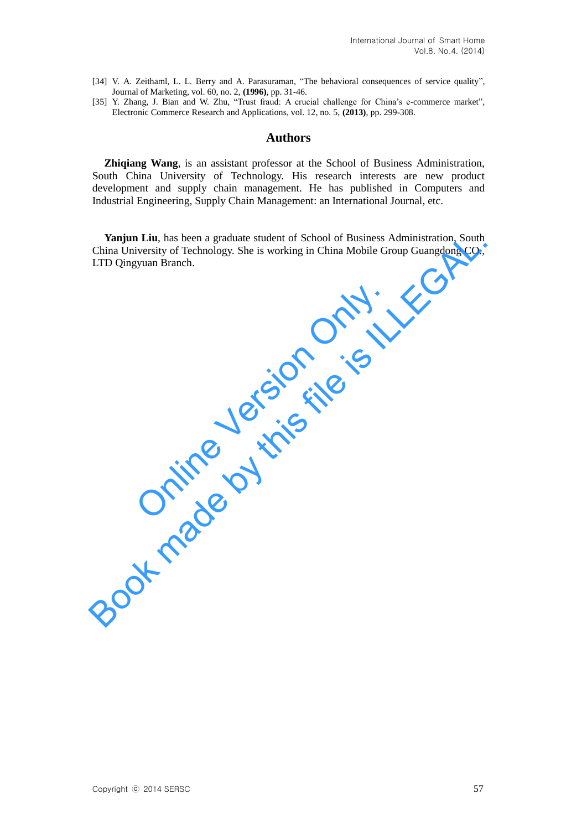- [34] V. A. Zeithaml, L. L. Berry and A. Parasuraman, "The behavioral consequences of service quality", Journal of Marketing, vol. 60, no. 2, **(1996)**, pp. 31-46.
- [35] Y. Zhang, J. Bian and W. Zhu, "Trust fraud: A crucial challenge for China's e-commerce market", Electronic Commerce Research and Applications, vol. 12, no. 5, **(2013)**, pp. 299-308.

### **Authors**

**Zhiqiang Wang**, is an assistant professor at the School of Business Administration, South China University of Technology. His research interests are new product development and supply chain management. He has published in Computers and Industrial Engineering, Supply Chain Management: an International Journal, etc.

**Yanjun Liu**, has been a graduate student of School of Business Administration, South China University of Technology. She is working in China Mobile Group Guangdong CO., LTD Qingyuan Branch. **Yanjun Liu,** has been a graduate student of School of Business Administration, South China University of Technology. She is working in China Mobile Group Guangdong CO., LTD Qingyuan Branch.